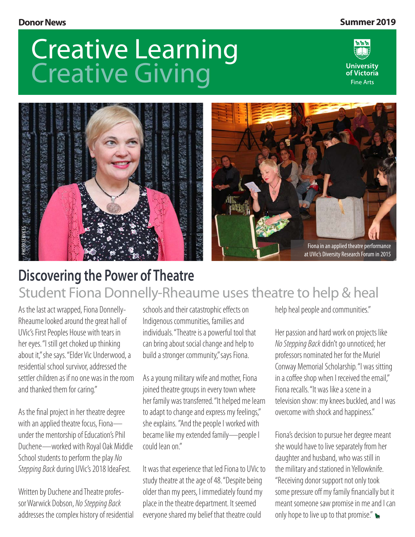#### **Donor News Summer 2019**

## Creative Learning Creative Giving





### **Discovering the Power of Theatre** Student Fiona Donnelly-Rheaume uses theatre to help & heal

As the last act wrapped, Fiona Donnelly-Rheaume looked around the great hall of UVic's First Peoples House with tears in her eyes. "I still get choked up thinking about it," she says. "Elder Vic Underwood, a residential school survivor, addressed the settler children as if no one was in the room and thanked them for caring."

As the final project in her theatre degree with an applied theatre focus, Fiona under the mentorship of Education's Phil Duchene—worked with Royal Oak Middle School students to perform the play *No Stepping Back* during UVic's 2018 IdeaFest.

Written by Duchene and Theatre professor Warwick Dobson, *No Stepping Back*  addresses the complex history of residential

schools and their catastrophic effects on Indigenous communities, families and individuals. "Theatre is a powerful tool that can bring about social change and help to build a stronger community," says Fiona.

As a young military wife and mother, Fiona joined theatre groups in every town where her family was transferred. "It helped me learn to adapt to change and express my feelings," she explains. "And the people I worked with became like my extended family—people I could lean on."

It was that experience that led Fiona to UVic to study theatre at the age of 48. "Despite being older than my peers, I immediately found my place in the theatre department. It seemed everyone shared my belief that theatre could

help heal people and communities."

Her passion and hard work on projects like *No Stepping Back* didn't go unnoticed; her professors nominated her for the Muriel Conway Memorial Scholarship. "I was sitting in a coffee shop when I received the email." Fiona recalls. "It was like a scene in a television show: my knees buckled, and I was overcome with shock and happiness."

Fiona's decision to pursue her degree meant she would have to live separately from her daughter and husband, who was still in the military and stationed in Yellowknife. "Receiving donor support not only took some pressure off my family financially but it meant someone saw promise in me and I can only hope to live up to that promise."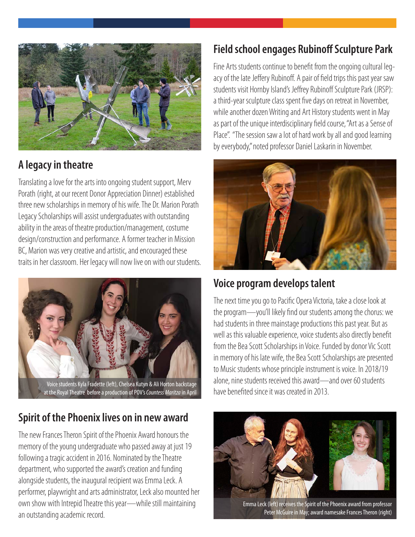

#### **A legacy in theatre**

Translating a love for the arts into ongoing student support, Merv Porath (right, at our recent Donor Appreciation Dinner) established three new scholarships in memory of his wife. The Dr. Marion Porath Legacy Scholarships will assist undergraduates with outstanding ability in the areas of theatre production/management, costume design/construction and performance. A former teacher in Mission BC, Marion was very creative and artistic, and encouraged these traits in her classroom. Her legacy will now live on with our students.



#### **Spirit of the Phoenix lives on in new award**

The new Frances Theron Spirit of the Phoenix Award honours the memory of the young undergraduate who passed away at just 19 following a tragic accident in 2016. Nominated by the Theatre department, who supported the award's creation and funding alongside students, the inaugural recipient was Emma Leck. A performer, playwright and arts administrator, Leck also mounted her own show with Intrepid Theatre this year—while still maintaining an outstanding academic record.

#### **Field school engages Rubinoff Sculpture Park**

Fine Arts students continue to benefit from the ongoing cultural legacy of the late Jeffery Rubinoff. A pair of field trips this past year saw students visit Hornby Island's Jeffrey Rubinoff Sculpture Park (JRSP): a third-year sculpture class spent five days on retreat in November, while another dozen Writing and Art History students went in May as part of the unique interdisciplinary field course, "Art as a Sense of Place". "The session saw a lot of hard work by all and good learning by everybody," noted professor Daniel Laskarin in November.



#### **Voice program develops talent**

The next time you go to Pacific Opera Victoria, take a close look at the program—you'll likely find our students among the chorus: we had students in three mainstage productions this past year. But as well as this valuable experience, voice students also directly benefit from the Bea Scott Scholarships in Voice. Funded by donor Vic Scott in memory of his late wife, the Bea Scott Scholarships are presented to Music students whose principle instrument is voice. In 2018/19 alone, nine students received this award—and over 60 students have benefited since it was created in 2013.



Emma Leck (left) receives the Spirit of the Phoenix award from professor Peter McGuire in May; award namesake Frances Theron (right)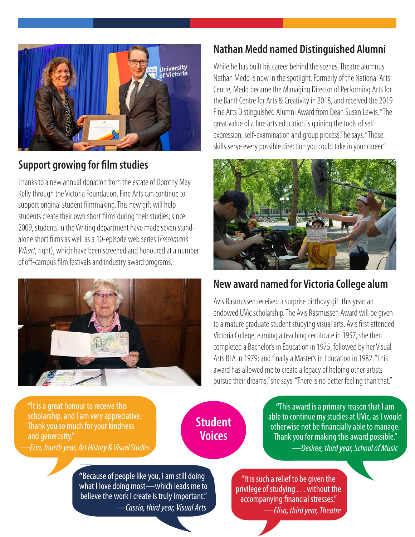

#### **Support growing for film studies**

Thanks to a new annual donation from the estate of Dorothy May Kelly through the Victoria Foundation, Fine Arts can continue to support original student filmmaking. This new gift will help students create their own short films during their studies; since 2009, students in the Writing department have made seven standalone short films as well as a 10-episode web series (*Freshman's Wharf*, right), which have been screened and honoured at a number of off-campus film festivals and industry award programs.



#### **Nathan Medd named Distinguished Alumni**

While he has built his career behind the scenes, Theatre alumnus Nathan Medd is now in the spotlight. Formerly of the National Arts Centre, Medd became the Managing Director of Performing Arts for the Banff Centre for Arts & Creativity in 2018, and received the 2019 Fine Arts Distinguished Alumni Award from Dean Susan Lewis. "The great value of a fine arts education is gaining the tools of selfexpression, self-examination and group process," he says. "Those skills serve every possible direction you could take in your career."



#### **New award named for Victoria College alum**

Avis Rasmussen received a surprise birthday gift this year: an endowed UVic scholarship. The Avis Rasmussen Award will be given to a mature graduate student studying visual arts. Avis first attended Victoria College, earning a teaching certificate in 1957; she then completed a Bachelor's in Education in 1975, followed by her Visual Arts BFA in 1979; and finally a Master's in Education in 1982. "This award has allowed me to create a legacy of helping other artists pursue their dreams," she says. "There is no better feeling than that."

 **"**It is a great honour to receive this scholarship, and I am very appreciative. Thank you so much for your kindness and generosity." *—Erin, fourth year, Art History & Visual Studies*

**Student Voices**

**"**This award is a primary reason that I am able to continue my studies at UVic, as I would otherwise not be financially able to manage. Thank you for making this award possible."  *—Desiree, third year, School of Music*

**"**Because of people like you, I am still doing what I love doing most—which leads me to believe the work I create is truly important."  *—Cassia, third year, Visual Arts*

"It is such a relief to be given the privilege of studying . . . without the accompanying financial stresses."  *—Elisa, third year, Theatre*